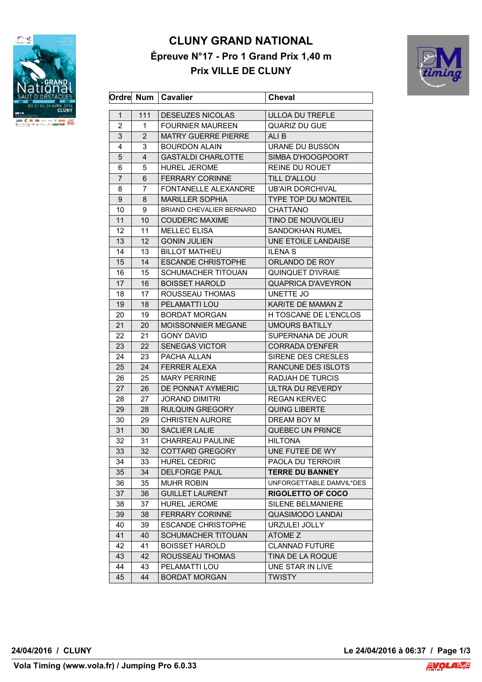

## **CLUNY GRAND NATIONAL Épreuve N°17 - Pro 1 Grand Prix 1,40 m Prix VILLE DE CLUNY**



|                |     | Ordre Num   Cavalier            | <b>Cheval</b>              |
|----------------|-----|---------------------------------|----------------------------|
| 1              | 111 | <b>DESEUZES NICOLAS</b>         | <b>ULLOA DU TREFLE</b>     |
| $\overline{2}$ | 1   | <b>FOURNIER MAUREEN</b>         | <b>QUARIZ DU GUE</b>       |
| 3              | 2   | <b>MATRY GUERRE PIERRE</b>      | ALI B                      |
| 4              | 3   | <b>BOURDON ALAIN</b>            | URANE DU BUSSON            |
| 5              | 4   | <b>GASTALDI CHARLOTTE</b>       | SIMBA D'HOOGPOORT          |
| 6              | 5   | HUREL JEROME                    | REINE DU ROUET             |
| $\overline{7}$ | 6   | <b>FERRARY CORINNE</b>          | TILL D'ALLOU               |
| 8              | 7   | FONTANELLE ALEXANDRE            | <b>UB'AIR DORCHIVAL</b>    |
| 9              | 8   | <b>MARILLER SOPHIA</b>          | <b>TYPE TOP DU MONTEIL</b> |
| 10             | 9   | <b>BRIAND CHEVALIER BERNARD</b> | <b>CHATTANO</b>            |
| 11             | 10  | <b>COUDERC MAXIME</b>           | TINO DE NOUVOLIEU          |
| 12             | 11  | <b>MELLEC ELISA</b>             | <b>SANDOKHAN RUMEL</b>     |
| 13             | 12  | <b>GONIN JULIEN</b>             | UNE ETOILE LANDAISE        |
| 14             | 13  | <b>BILLOT MATHIEU</b>           | <b>ILENA S</b>             |
| 15             | 14  | <b>ESCANDE CHRISTOPHE</b>       | ORLANDO DE ROY             |
| 16             | 15  | SCHUMACHER TITOUAN              | QUINQUET D'IVRAIE          |
| 17             | 16  | <b>BOISSET HAROLD</b>           | <b>QUAPRICA D'AVEYRON</b>  |
| 18             | 17  | ROUSSEAU THOMAS                 | UNETTE JO                  |
| 19             | 18  | PELAMATTI LOU                   | KARITE DE MAMAN Z          |
| 20             | 19  | <b>BORDAT MORGAN</b>            | H TOSCANE DE L'ENCLOS      |
| 21             | 20  | <b>MOISSONNIER MEGANE</b>       | <b>UMOURS BATILLY</b>      |
| 22             | 21  | <b>GONY DAVID</b>               | SUPERNANA DE JOUR          |
| 23             | 22  | <b>SENEGAS VICTOR</b>           | <b>CORRADA D'ENFER</b>     |
| 24             | 23  | PACHA ALLAN                     | SIRENE DES CRESLES         |
| 25             | 24  | <b>FERRER ALEXA</b>             | RANCUNE DES ISLOTS         |
| 26             | 25  | <b>MARY PERRINE</b>             | <b>RADJAH DE TURCIS</b>    |
| 27             | 26  | DE PONNAT AYMERIC               | ULTRA DU REVERDY           |
| 28             | 27  | JORAND DIMITRI                  | <b>REGAN KERVEC</b>        |
| 29             | 28  | <b>RULQUIN GREGORY</b>          | <b>QUING LIBERTE</b>       |
| 30             | 29  | <b>CHRISTEN AURORE</b>          | DREAM BOY M                |
| 31             | 30  | <b>SACLIER LALIE</b>            | QUEBEC UN PRINCE           |
| 32             | 31  | <b>CHARREAU PAULINE</b>         | <b>HILTONA</b>             |
| 33             | 32  | <b>COTTARD GREGORY</b>          | UNE FUTEE DE WY            |
| 34             | 33  | <b>HUREL CEDRIC</b>             | PAOLA DU TERROIR           |
| 35             | 34  | <b>DELFORGE PAUL</b>            | <b>TERRE DU BANNEY</b>     |
| 36             | 35  | <b>MUHR ROBIN</b>               | UNFORGETTABLE DAMVIL*DES   |
| 37             | 36  | <b>GUILLET LAURENT</b>          | <b>RIGOLETTO OF COCO</b>   |
| 38             | 37  | <b>HUREL JEROME</b>             | SILENE BELMANIERE          |
| 39             | 38  | <b>FERRARY CORINNE</b>          | <b>QUASIMODO LANDAI</b>    |
| 40             | 39  | <b>ESCANDE CHRISTOPHE</b>       | URZULEI JOLLY              |
| 41             | 40  | SCHUMACHER TITOUAN              | ATOME Z                    |
| 42             | 41  | <b>BOISSET HAROLD</b>           | <b>CLANNAD FUTURE</b>      |
| 43             | 42  | ROUSSEAU THOMAS                 | TINA DE LA ROQUE           |
| 44             | 43  | PELAMATTI LOU                   | UNE STAR IN LIVE           |
| 45             | 44  | <b>BORDAT MORGAN</b>            | <b>TWISTY</b>              |
|                |     |                                 |                            |

**24/04/2016 / CLUNY Le 24/04/2016 à 06:37 / Page 1/3**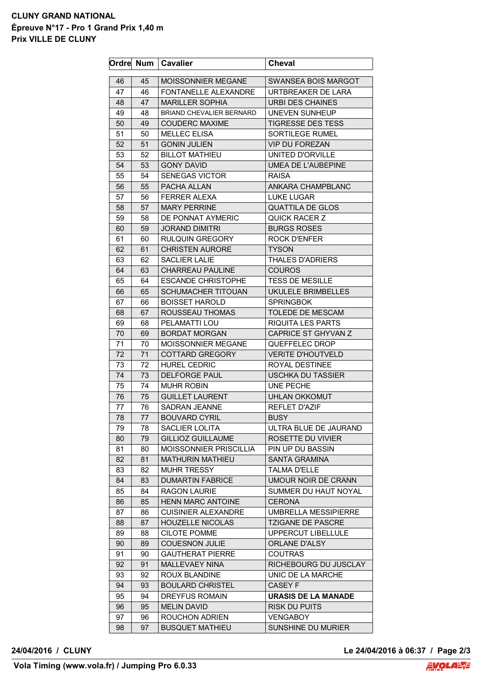## **CLUNY GRAND NATIONAL Épreuve N°17 - Pro 1 Grand Prix 1,40 m Prix VILLE DE CLUNY**

|    |    | Ordre Num   Cavalier            | <b>Cheval</b>            |
|----|----|---------------------------------|--------------------------|
| 46 | 45 | MOISSONNIER MEGANE              | SWANSEA BOIS MARGOT      |
| 47 | 46 | FONTANELLE ALEXANDRE            | URTBREAKER DE LARA       |
| 48 | 47 | <b>MARILLER SOPHIA</b>          | <b>URBI DES CHAINES</b>  |
| 49 | 48 | <b>BRIAND CHEVALIER BERNARD</b> | <b>UNEVEN SUNHEUP</b>    |
| 50 | 49 | <b>COUDERC MAXIME</b>           | <b>TIGRESSE DES TESS</b> |
| 51 | 50 | <b>MELLEC ELISA</b>             | SORTILEGE RUMEL          |
| 52 | 51 | <b>GONIN JULIEN</b>             | <b>VIP DU FOREZAN</b>    |
| 53 | 52 | <b>BILLOT MATHIEU</b>           | <b>UNITED D'ORVILLE</b>  |
| 54 | 53 | <b>GONY DAVID</b>               | UMEA DE L'AUBEPINE       |
| 55 | 54 | <b>SENEGAS VICTOR</b>           | <b>RAISA</b>             |
| 56 | 55 | PACHA ALLAN                     | ANKARA CHAMPBLANC        |
| 57 | 56 | <b>FERRER ALEXA</b>             | <b>LUKE LUGAR</b>        |
| 58 | 57 | <b>MARY PERRINE</b>             | <b>QUATTILA DE GLOS</b>  |
| 59 | 58 | DE PONNAT AYMERIC               | <b>QUICK RACER Z</b>     |
| 60 | 59 | <b>JORAND DIMITRI</b>           | <b>BURGS ROSES</b>       |
| 61 | 60 | <b>RULQUIN GREGORY</b>          | <b>ROCK D'ENFER</b>      |
| 62 | 61 | <b>CHRISTEN AURORE</b>          | <b>TYSON</b>             |
| 63 | 62 | <b>SACLIER LALIE</b>            | <b>THALES D'ADRIERS</b>  |
| 64 | 63 | <b>CHARREAU PAULINE</b>         | <b>COUROS</b>            |
| 65 | 64 | <b>ESCANDE CHRISTOPHE</b>       | <b>TESS DE MESILLE</b>   |
| 66 | 65 | <b>SCHUMACHER TITOUAN</b>       | UKULELE BRIMBELLES       |
| 67 | 66 | <b>BOISSET HAROLD</b>           | <b>SPRINGBOK</b>         |
| 68 | 67 | ROUSSEAU THOMAS                 | TOLEDE DE MESCAM         |
| 69 | 68 | PELAMATTI LOU                   | <b>RIQUITA LES PARTS</b> |
| 70 | 69 | <b>BORDAT MORGAN</b>            | CAPRICE ST GHYVAN Z      |
| 71 | 70 | MOISSONNIER MEGANE              | QUEFFELEC DROP           |
| 72 | 71 | <b>COTTARD GREGORY</b>          | <b>VERITE D'HOUTVELD</b> |
| 73 | 72 | <b>HUREL CEDRIC</b>             | ROYAL DESTINEE           |
| 74 | 73 | <b>DELFORGE PAUL</b>            | <b>USCHKA DU TASSIER</b> |
| 75 | 74 | <b>MUHR ROBIN</b>               | UNE PECHE                |
| 76 | 75 | <b>GUILLET LAURENT</b>          | <b>UHLAN OKKOMUT</b>     |
| 77 | 76 | <b>SADRAN JEANNE</b>            | <b>REFLET D'AZIF</b>     |
| 78 | 77 | <b>BOUVARD CYRIL</b>            | <b>BUSY</b>              |
| 79 | 78 | SACLIER LOLITA                  | ULTRA BLUE DE JAURAND    |
| 80 | 79 | <b>GILLIOZ GUILLAUME</b>        | ROSETTE DU VIVIER        |
| 81 | 80 | MOISSONNIER PRISCILLIA          | PIN UP DU BASSIN         |
| 82 | 81 | <b>MATHURIN MATHIEU</b>         | SANTA GRAMINA            |
| 83 | 82 | <b>MUHR TRESSY</b>              | <b>TALMA D'ELLE</b>      |
| 84 | 83 | <b>DUMARTIN FABRICE</b>         | UMOUR NOIR DE CRANN      |
| 85 | 84 | <b>RAGON LAURIE</b>             | SUMMER DU HAUT NOYAL     |
| 86 | 85 | <b>HENN MARC ANTOINE</b>        | <b>CERONA</b>            |
| 87 | 86 | <b>CUISINIER ALEXANDRE</b>      | UMBRELLA MESSIPIERRE     |
| 88 | 87 | <b>HOUZELLE NICOLAS</b>         | <b>TZIGANE DE PASCRE</b> |
| 89 | 88 | CILOTE POMME                    | UPPERCUT LIBELLULE       |
| 90 | 89 | <b>COUESNON JULIE</b>           | ORLANE D'ALSY            |
| 91 | 90 | <b>GAUTHERAT PIERRE</b>         | <b>COUTRAS</b>           |
| 92 | 91 | MALLEVAEY NINA                  | RICHEBOURG DU JUSCLAY    |
| 93 | 92 | ROUX BLANDINE                   | UNIC DE LA MARCHE        |
| 94 | 93 | <b>BOULARD CHRISTEL</b>         | CASEY F                  |
| 95 | 94 | DREYFUS ROMAIN                  | URASIS DE LA MANADE      |
| 96 | 95 | <b>MELIN DAVID</b>              | <b>RISK DU PUITS</b>     |
| 97 | 96 | ROUCHON ADRIEN                  | <b>VENGABOY</b>          |
| 98 | 97 | <b>BUSQUET MATHIEU</b>          | SUNSHINE DU MURIER       |
|    |    |                                 |                          |

**24/04/2016 / CLUNY Le 24/04/2016 à 06:37 / Page 2/3**